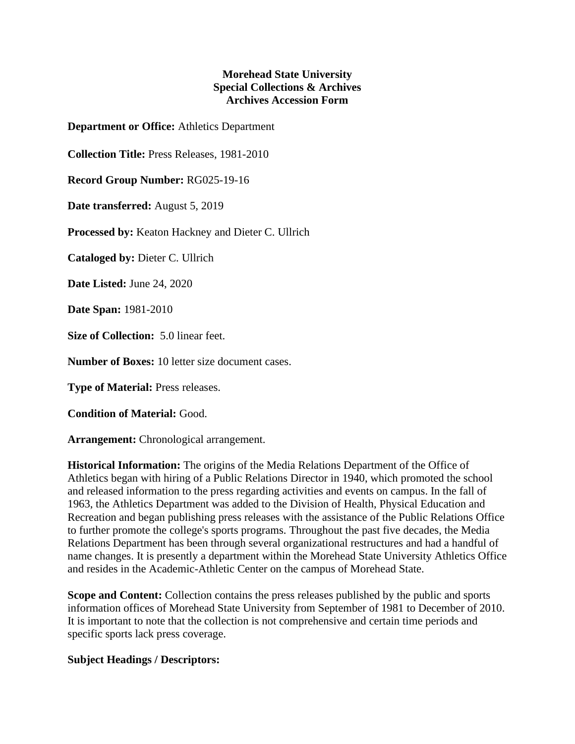## **Morehead State University Special Collections & Archives Archives Accession Form**

**Department or Office:** Athletics Department

**Collection Title:** Press Releases, 1981-2010

**Record Group Number:** RG025-19-16

**Date transferred:** August 5, 2019

**Processed by:** Keaton Hackney and Dieter C. Ullrich

**Cataloged by:** Dieter C. Ullrich

**Date Listed:** June 24, 2020

**Date Span:** 1981-2010

**Size of Collection:** 5.0 linear feet.

**Number of Boxes:** 10 letter size document cases.

**Type of Material:** Press releases.

**Condition of Material:** Good.

**Arrangement:** Chronological arrangement.

**Historical Information:** The origins of the Media Relations Department of the Office of Athletics began with hiring of a Public Relations Director in 1940, which promoted the school and released information to the press regarding activities and events on campus. In the fall of 1963, the Athletics Department was added to the Division of Health, Physical Education and Recreation and began publishing press releases with the assistance of the Public Relations Office to further promote the college's sports programs. Throughout the past five decades, the Media Relations Department has been through several organizational restructures and had a handful of name changes. It is presently a department within the Morehead State University Athletics Office and resides in the Academic-Athletic Center on the campus of Morehead State.

**Scope and Content:** Collection contains the press releases published by the public and sports information offices of Morehead State University from September of 1981 to December of 2010. It is important to note that the collection is not comprehensive and certain time periods and specific sports lack press coverage.

## **Subject Headings / Descriptors:**